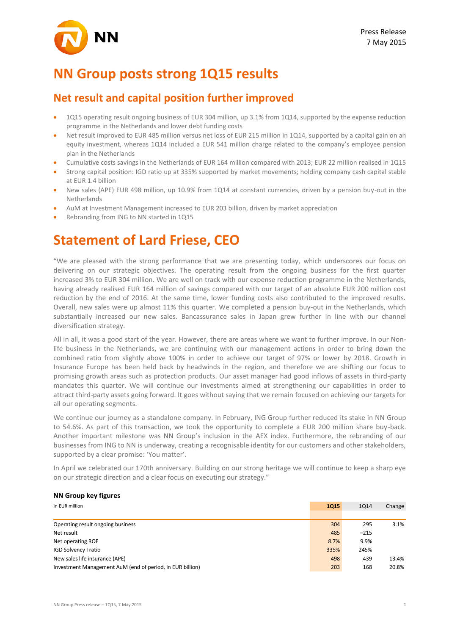# **NN Group posts strong 1Q15 results**

## **Net result and capital position further improved**

- 1Q15 operating result ongoing business of EUR 304 million, up 3.1% from 1Q14, supported by the expense reduction programme in the Netherlands and lower debt funding costs
- Net result improved to EUR 485 million versus net loss of EUR 215 million in 1Q14, supported by a capital gain on an equity investment, whereas 1Q14 included a EUR 541 million charge related to the company's employee pension plan in the Netherlands
- Cumulative costs savings in the Netherlands of EUR 164 million compared with 2013; EUR 22 million realised in 1Q15
- Strong capital position: IGD ratio up at 335% supported by market movements; holding company cash capital stable at FUR 1.4 billion
- New sales (APE) EUR 498 million, up 10.9% from 1Q14 at constant currencies, driven by a pension buy-out in the **Netherlands**
- AuM at Investment Management increased to EUR 203 billion, driven by market appreciation
- Rebranding from ING to NN started in 1Q15

## **Statement of Lard Friese, CEO**

"We are pleased with the strong performance that we are presenting today, which underscores our focus on delivering on our strategic objectives. The operating result from the ongoing business for the first quarter increased 3% to EUR 304 million. We are well on track with our expense reduction programme in the Netherlands, having already realised EUR 164 million of savings compared with our target of an absolute EUR 200 million cost reduction by the end of 2016. At the same time, lower funding costs also contributed to the improved results. Overall, new sales were up almost 11% this quarter. We completed a pension buy-out in the Netherlands, which substantially increased our new sales. Bancassurance sales in Japan grew further in line with our channel diversification strategy.

All in all, it was a good start of the year. However, there are areas where we want to further improve. In our Nonlife business in the Netherlands, we are continuing with our management actions in order to bring down the combined ratio from slightly above 100% in order to achieve our target of 97% or lower by 2018. Growth in Insurance Europe has been held back by headwinds in the region, and therefore we are shifting our focus to promising growth areas such as protection products. Our asset manager had good inflows of assets in third-party mandates this quarter. We will continue our investments aimed at strengthening our capabilities in order to attract third-party assets going forward. It goes without saying that we remain focused on achieving our targets for all our operating segments.

We continue our journey as a standalone company. In February, ING Group further reduced its stake in NN Group to 54.6%. As part of this transaction, we took the opportunity to complete a EUR 200 million share buy-back. Another important milestone was NN Group's inclusion in the AEX index. Furthermore, the rebranding of our businesses from ING to NN is underway, creating a recognisable identity for our customers and other stakeholders, supported by a clear promise: 'You matter'.

In April we celebrated our 170th anniversary. Building on our strong heritage we will continue to keep a sharp eye on our strategic direction and a clear focus on executing our strategy."

### **NN Group key figures**

| In EUR million                                            | <b>1Q15</b> | <b>1Q14</b> | Change |
|-----------------------------------------------------------|-------------|-------------|--------|
|                                                           |             |             |        |
| Operating result ongoing business                         | 304         | 295         | 3.1%   |
| Net result                                                | 485         | $-215$      |        |
| Net operating ROE                                         | 8.7%        | 9.9%        |        |
| IGD Solvency I ratio                                      | 335%        | 245%        |        |
| New sales life insurance (APE)                            | 498         | 439         | 13.4%  |
| Investment Management AuM (end of period, in EUR billion) | 203         | 168         | 20.8%  |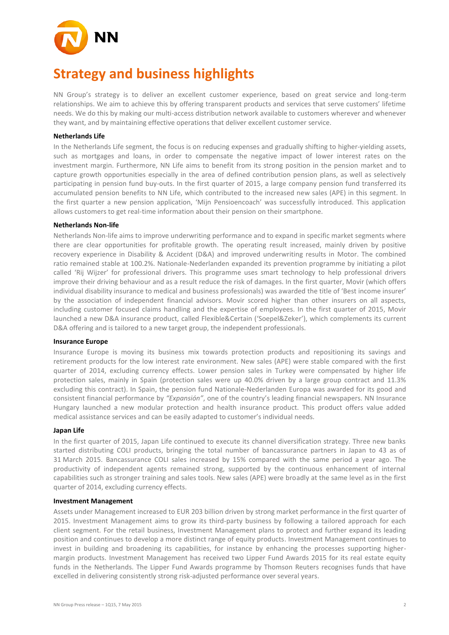

# **Strategy and business highlights**

NN Group's strategy is to deliver an excellent customer experience, based on great service and long-term relationships. We aim to achieve this by offering transparent products and services that serve customers' lifetime needs. We do this by making our multi-access distribution network available to customers wherever and whenever they want, and by maintaining effective operations that deliver excellent customer service.

### **Netherlands Life**

In the Netherlands Life segment, the focus is on reducing expenses and gradually shifting to higher-yielding assets, such as mortgages and loans, in order to compensate the negative impact of lower interest rates on the investment margin. Furthermore, NN Life aims to benefit from its strong position in the pension market and to capture growth opportunities especially in the area of defined contribution pension plans, as well as selectively participating in pension fund buy-outs. In the first quarter of 2015, a large company pension fund transferred its accumulated pension benefits to NN Life, which contributed to the increased new sales (APE) in this segment. In the first quarter a new pension application, 'Mijn Pensioencoach' was successfully introduced. This application allows customers to get real-time information about their pension on their smartphone.

### **Netherlands Non-life**

Netherlands Non-life aims to improve underwriting performance and to expand in specific market segments where there are clear opportunities for profitable growth. The operating result increased, mainly driven by positive recovery experience in Disability & Accident (D&A) and improved underwriting results in Motor. The combined ratio remained stable at 100.2%. Nationale-Nederlanden expanded its prevention programme by initiating a pilot called 'Rij Wijzer' for professional drivers. This programme uses smart technology to help professional drivers improve their driving behaviour and as a result reduce the risk of damages. In the first quarter, Movir (which offers individual disability insurance to medical and business professionals) was awarded the title of 'Best income insurer' by the association of independent financial advisors. Movir scored higher than other insurers on all aspects, including customer focused claims handling and the expertise of employees. In the first quarter of 2015, Movir launched a new D&A insurance product, called Flexible&Certain ('Soepel&Zeker'), which complements its current D&A offering and is tailored to a new target group, the independent professionals.

### **Insurance Europe**

Insurance Europe is moving its business mix towards protection products and repositioning its savings and retirement products for the low interest rate environment. New sales (APE) were stable compared with the first quarter of 2014, excluding currency effects. Lower pension sales in Turkey were compensated by higher life protection sales, mainly in Spain (protection sales were up 40.0% driven by a large group contract and 11.3% excluding this contract). In Spain, the pension fund Nationale-Nederlanden Europa was awarded for its good and consistent financial performance by *"Expansión"*, one of the country's leading financial newspapers. NN Insurance Hungary launched a new modular protection and health insurance product. This product offers value added medical assistance services and can be easily adapted to customer's individual needs.

### **Japan Life**

In the first quarter of 2015, Japan Life continued to execute its channel diversification strategy. Three new banks started distributing COLI products, bringing the total number of bancassurance partners in Japan to 43 as of 31 March 2015. Bancassurance COLI sales increased by 15% compared with the same period a year ago. The productivity of independent agents remained strong, supported by the continuous enhancement of internal capabilities such as stronger training and sales tools. New sales (APE) were broadly at the same level as in the first quarter of 2014, excluding currency effects.

### **Investment Management**

Assets under Management increased to EUR 203 billion driven by strong market performance in the first quarter of 2015. Investment Management aims to grow its third-party business by following a tailored approach for each client segment. For the retail business, Investment Management plans to protect and further expand its leading position and continues to develop a more distinct range of equity products. Investment Management continues to invest in building and broadening its capabilities, for instance by enhancing the processes supporting highermargin products. Investment Management has received two Lipper Fund Awards 2015 for its real estate equity funds in the Netherlands. The Lipper Fund Awards programme by Thomson Reuters recognises funds that have excelled in delivering consistently strong risk-adjusted performance over several years.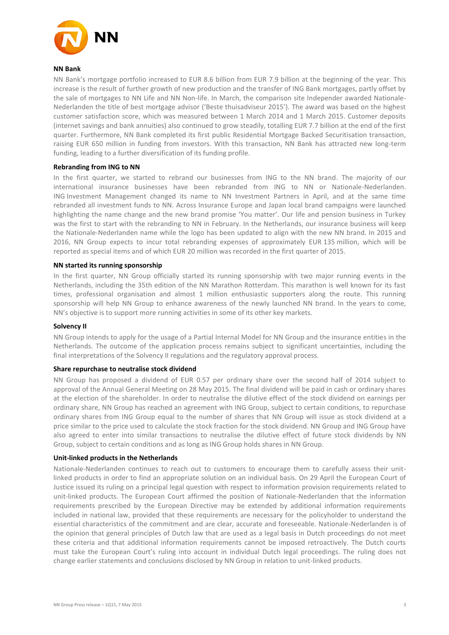

### **NN Bank**

NN Bank's mortgage portfolio increased to EUR 8.6 billion from EUR 7.9 billion at the beginning of the year. This increase is the result of further growth of new production and the transfer of ING Bank mortgages, partly offset by the sale of mortgages to NN Life and NN Non-life. In March, the comparison site Independer awarded Nationale-Nederlanden the title of best mortgage advisor ('Beste thuisadviseur 2015'). The award was based on the highest customer satisfaction score, which was measured between 1 March 2014 and 1 March 2015. Customer deposits (internet savings and bank annuities) also continued to grow steadily, totalling EUR 7.7 billion at the end of the first quarter. Furthermore, NN Bank completed its first public Residential Mortgage Backed Securitisation transaction, raising EUR 650 million in funding from investors. With this transaction, NN Bank has attracted new long-term funding, leading to a further diversification of its funding profile.

### **Rebranding from ING to NN**

In the first quarter, we started to rebrand our businesses from ING to the NN brand. The majority of our international insurance businesses have been rebranded from ING to NN or Nationale-Nederlanden. ING Investment Management changed its name to NN Investment Partners in April, and at the same time rebranded all investment funds to NN. Across Insurance Europe and Japan local brand campaigns were launched highlighting the name change and the new brand promise 'You matter'. Our life and pension business in Turkey was the first to start with the rebranding to NN in February. In the Netherlands, our insurance business will keep the Nationale-Nederlanden name while the logo has been updated to align with the new NN brand. In 2015 and 2016, NN Group expects to incur total rebranding expenses of approximately EUR 135 million, which will be reported as special items and of which EUR 20 million was recorded in the first quarter of 2015.

### **NN started its running sponsorship**

In the first quarter, NN Group officially started its running sponsorship with two major running events in the Netherlands, including the 35th edition of the NN Marathon Rotterdam. This marathon is well known for its fast times, professional organisation and almost 1 million enthusiastic supporters along the route. This running sponsorship will help NN Group to enhance awareness of the newly launched NN brand. In the years to come, NN's objective is to support more running activities in some of its other key markets.

### **Solvency II**

NN Group intends to apply for the usage of a Partial Internal Model for NN Group and the insurance entities in the Netherlands. The outcome of the application process remains subject to significant uncertainties, including the final interpretations of the Solvency II regulations and the regulatory approval process.

### **Share repurchase to neutralise stock dividend**

NN Group has proposed a dividend of EUR 0.57 per ordinary share over the second half of 2014 subject to approval of the Annual General Meeting on 28 May 2015. The final dividend will be paid in cash or ordinary shares at the election of the shareholder. In order to neutralise the dilutive effect of the stock dividend on earnings per ordinary share, NN Group has reached an agreement with ING Group, subject to certain conditions, to repurchase ordinary shares from ING Group equal to the number of shares that NN Group will issue as stock dividend at a price similar to the price used to calculate the stock fraction for the stock dividend. NN Group and ING Group have also agreed to enter into similar transactions to neutralise the dilutive effect of future stock dividends by NN Group, subject to certain conditions and as long as ING Group holds shares in NN Group.

### **Unit-linked products in the Netherlands**

Nationale-Nederlanden continues to reach out to customers to encourage them to carefully assess their unitlinked products in order to find an appropriate solution on an individual basis. On 29 April the European Court of Justice issued its ruling on a principal legal question with respect to information provision requirements related to unit-linked products. The European Court affirmed the position of Nationale-Nederlanden that the information requirements prescribed by the European Directive may be extended by additional information requirements included in national law, provided that these requirements are necessary for the policyholder to understand the essential characteristics of the commitment and are clear, accurate and foreseeable. Nationale-Nederlanden is of the opinion that general principles of Dutch law that are used as a legal basis in Dutch proceedings do not meet these criteria and that additional information requirements cannot be imposed retroactively. The Dutch courts must take the European Court's ruling into account in individual Dutch legal proceedings. The ruling does not change earlier statements and conclusions disclosed by NN Group in relation to unit-linked products.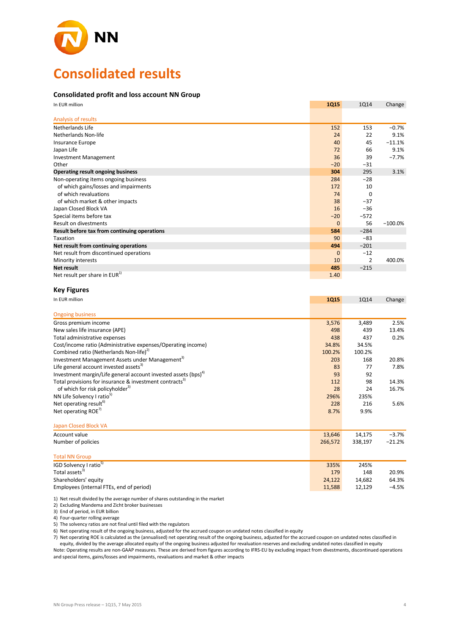

# **Consolidated results**

### **Consolidated profit and loss account NN Group**

| In EUR million                               | <b>1Q15</b>  | <b>1Q14</b>    | Change    |
|----------------------------------------------|--------------|----------------|-----------|
| Analysis of results                          |              |                |           |
| Netherlands Life                             | 152          | 153            | $-0.7%$   |
| Netherlands Non-life                         | 24           | 22             | 9.1%      |
| Insurance Europe                             | 40           | 45             | $-11.1%$  |
| Japan Life                                   | 72           | 66             | 9.1%      |
| <b>Investment Management</b>                 | 36           | 39             | $-7.7%$   |
| Other                                        | $-20$        | $-31$          |           |
| Operating result ongoing business            | 304          | 295            | 3.1%      |
| Non-operating items ongoing business         | 284          | $-28$          |           |
| of which gains/losses and impairments        | 172          | 10             |           |
| of which revaluations                        | 74           | 0              |           |
| of which market & other impacts              | 38           | $-37$          |           |
| Japan Closed Block VA                        | 16           | $-36$          |           |
| Special items before tax                     | $-20$        | $-572$         |           |
| Result on divestments                        | $\mathbf{0}$ | 56             | $-100.0%$ |
| Result before tax from continuing operations | 584          | $-284$         |           |
| Taxation                                     | 90           | $-83$          |           |
| Net result from continuing operations        | 494          | $-201$         |           |
| Net result from discontinued operations      | $\mathbf 0$  | $-12$          |           |
| Minority interests                           | 10           | $\overline{2}$ | 400.0%    |
| Net result                                   | 485          | $-215$         |           |
| Net result per share in EUR <sup>1)</sup>    | 1.40         |                |           |

#### **Key Figures**

| In EUR million                                                             | <b>1Q15</b> | 1014    | Change   |
|----------------------------------------------------------------------------|-------------|---------|----------|
| <b>Ongoing business</b>                                                    |             |         |          |
| Gross premium income                                                       | 3,576       | 3,489   | 2.5%     |
| New sales life insurance (APE)                                             | 498         | 439     | 13.4%    |
| Total administrative expenses                                              | 438         | 437     | 0.2%     |
| Cost/income ratio (Administrative expenses/Operating income)               | 34.8%       | 34.5%   |          |
| Combined ratio (Netherlands Non-life) <sup>2)</sup>                        | 100.2%      | 100.2%  |          |
| Investment Management Assets under Management <sup>3)</sup>                | 203         | 168     | 20.8%    |
| Life general account invested assets <sup>3)</sup>                         | 83          | 77      | 7.8%     |
| Investment margin/Life general account invested assets (bps) <sup>4)</sup> | 93          | 92      |          |
| Total provisions for insurance & investment contracts <sup>3)</sup>        | 112         | 98      | 14.3%    |
| of which for risk policyholder <sup>3)</sup>                               | 28          | 24      | 16.7%    |
| NN Life Solvency I ratio <sup>5)</sup>                                     | 296%        | 235%    |          |
| Net operating result <sup>6)</sup>                                         | 228         | 216     | 5.6%     |
| Net operating ROE <sup>7)</sup>                                            | 8.7%        | 9.9%    |          |
| Japan Closed Block VA                                                      |             |         |          |
| Account value                                                              | 13,646      | 14,175  | $-3.7%$  |
| Number of policies                                                         | 266,572     | 338,197 | $-21.2%$ |
| <b>Total NN Group</b>                                                      |             |         |          |
| IGD Solvency I ratio <sup>5)</sup>                                         | 335%        | 245%    |          |
| Total assets <sup>3)</sup>                                                 | 179         | 148     | 20.9%    |
| Shareholders' equity                                                       | 24,122      | 14,682  | 64.3%    |
| Employees (internal FTEs, end of period)                                   | 11,588      | 12.129  | $-4.5%$  |

1) Net result divided by the average number of shares outstanding in the market

Employees (internal FTEs, end of period)

2) Excluding Mandema and Zicht broker businesses

3) End of period, in EUR billion

4) Four-quarter rolling average

5) The solvency ratios are not final until filed with the regulators

6) Net operating result of the ongoing business, adjusted for the accrued coupon on undated notes classified in equity

7) Net operating ROE is calculated as the (annualised) net operating result of the ongoing business, adjusted for the accrued coupon on undated notes classified in equity, divided by the average allocated equity of the ongoing business adjusted for revaluation reserves and excluding undated notes classified in equity Note: Operating results are non-GAAP measures. These are derived from figures according to IFRS-EU by excluding impact from divestments, discontinued operations

and special items, gains/losses and impairments, revaluations and market & other impacts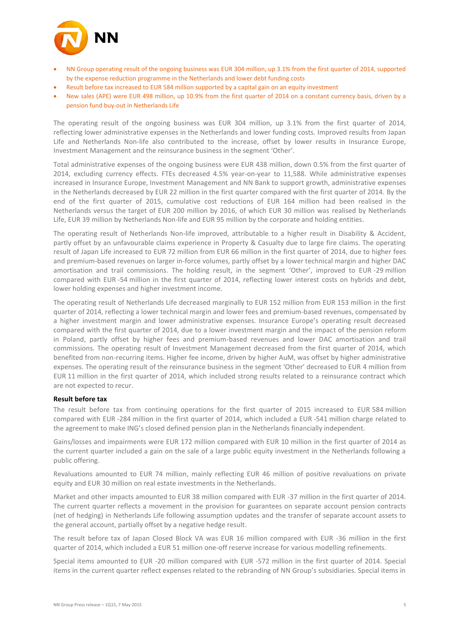

- NN Group operating result of the ongoing business was EUR 304 million, up 3.1% from the first quarter of 2014, supported by the expense reduction programme in the Netherlands and lower debt funding costs
- Result before tax increased to EUR 584 million supported by a capital gain on an equity investment
- New sales (APE) were EUR 498 million, up 10.9% from the first quarter of 2014 on a constant currency basis, driven by a pension fund buy-out in Netherlands Life

The operating result of the ongoing business was EUR 304 million, up 3.1% from the first quarter of 2014, reflecting lower administrative expenses in the Netherlands and lower funding costs. Improved results from Japan Life and Netherlands Non-life also contributed to the increase, offset by lower results in Insurance Europe, Investment Management and the reinsurance business in the segment 'Other'.

Total administrative expenses of the ongoing business were EUR 438 million, down 0.5% from the first quarter of 2014, excluding currency effects. FTEs decreased 4.5% year-on-year to 11,588. While administrative expenses increased in Insurance Europe, Investment Management and NN Bank to support growth, administrative expenses in the Netherlands decreased by EUR 22 million in the first quarter compared with the first quarter of 2014. By the end of the first quarter of 2015, cumulative cost reductions of EUR 164 million had been realised in the Netherlands versus the target of EUR 200 million by 2016, of which EUR 30 million was realised by Netherlands Life, EUR 39 million by Netherlands Non-life and EUR 95 million by the corporate and holding entities.

The operating result of Netherlands Non-life improved, attributable to a higher result in Disability & Accident, partly offset by an unfavourable claims experience in Property & Casualty due to large fire claims. The operating result of Japan Life increased to EUR 72 million from EUR 66 million in the first quarter of 2014, due to higher fees and premium-based revenues on larger in-force volumes, partly offset by a lower technical margin and higher DAC amortisation and trail commissions. The holding result, in the segment 'Other', improved to EUR -29 million compared with EUR -54 million in the first quarter of 2014, reflecting lower interest costs on hybrids and debt, lower holding expenses and higher investment income.

The operating result of Netherlands Life decreased marginally to EUR 152 million from EUR 153 million in the first quarter of 2014, reflecting a lower technical margin and lower fees and premium-based revenues, compensated by a higher investment margin and lower administrative expenses. Insurance Europe's operating result decreased compared with the first quarter of 2014, due to a lower investment margin and the impact of the pension reform in Poland, partly offset by higher fees and premium-based revenues and lower DAC amortisation and trail commissions. The operating result of Investment Management decreased from the first quarter of 2014, which benefited from non-recurring items. Higher fee income, driven by higher AuM, was offset by higher administrative expenses. The operating result of the reinsurance business in the segment 'Other' decreased to EUR 4 million from EUR 11 million in the first quarter of 2014, which included strong results related to a reinsurance contract which are not expected to recur.

### **Result before tax**

The result before tax from continuing operations for the first quarter of 2015 increased to EUR 584 million compared with EUR -284 million in the first quarter of 2014, which included a EUR -541 million charge related to the agreement to make ING's closed defined pension plan in the Netherlands financially independent.

Gains/losses and impairments were EUR 172 million compared with EUR 10 million in the first quarter of 2014 as the current quarter included a gain on the sale of a large public equity investment in the Netherlands following a public offering.

Revaluations amounted to EUR 74 million, mainly reflecting EUR 46 million of positive revaluations on private equity and EUR 30 million on real estate investments in the Netherlands.

Market and other impacts amounted to EUR 38 million compared with EUR -37 million in the first quarter of 2014. The current quarter reflects a movement in the provision for guarantees on separate account pension contracts (net of hedging) in Netherlands Life following assumption updates and the transfer of separate account assets to the general account, partially offset by a negative hedge result.

The result before tax of Japan Closed Block VA was EUR 16 million compared with EUR -36 million in the first quarter of 2014, which included a EUR 51 million one-off reserve increase for various modelling refinements.

Special items amounted to EUR -20 million compared with EUR -572 million in the first quarter of 2014. Special items in the current quarter reflect expenses related to the rebranding of NN Group's subsidiaries. Special items in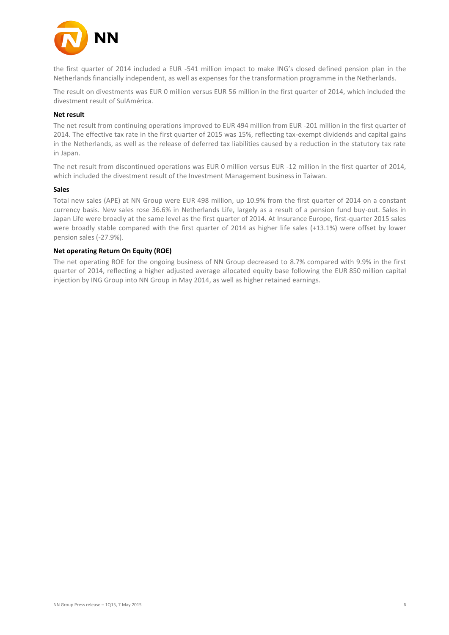

the first quarter of 2014 included a EUR -541 million impact to make ING's closed defined pension plan in the Netherlands financially independent, as well as expenses for the transformation programme in the Netherlands.

The result on divestments was EUR 0 million versus EUR 56 million in the first quarter of 2014, which included the divestment result of SulAmérica.

### **Net result**

The net result from continuing operations improved to EUR 494 million from EUR -201 million in the first quarter of 2014. The effective tax rate in the first quarter of 2015 was 15%, reflecting tax-exempt dividends and capital gains in the Netherlands, as well as the release of deferred tax liabilities caused by a reduction in the statutory tax rate in Japan.

The net result from discontinued operations was EUR 0 million versus EUR -12 million in the first quarter of 2014, which included the divestment result of the Investment Management business in Taiwan.

### **Sales**

Total new sales (APE) at NN Group were EUR 498 million, up 10.9% from the first quarter of 2014 on a constant currency basis. New sales rose 36.6% in Netherlands Life, largely as a result of a pension fund buy-out. Sales in Japan Life were broadly at the same level as the first quarter of 2014. At Insurance Europe, first-quarter 2015 sales were broadly stable compared with the first quarter of 2014 as higher life sales (+13.1%) were offset by lower pension sales (-27.9%).

### **Net operating Return On Equity (ROE)**

The net operating ROE for the ongoing business of NN Group decreased to 8.7% compared with 9.9% in the first quarter of 2014, reflecting a higher adjusted average allocated equity base following the EUR 850 million capital injection by ING Group into NN Group in May 2014, as well as higher retained earnings.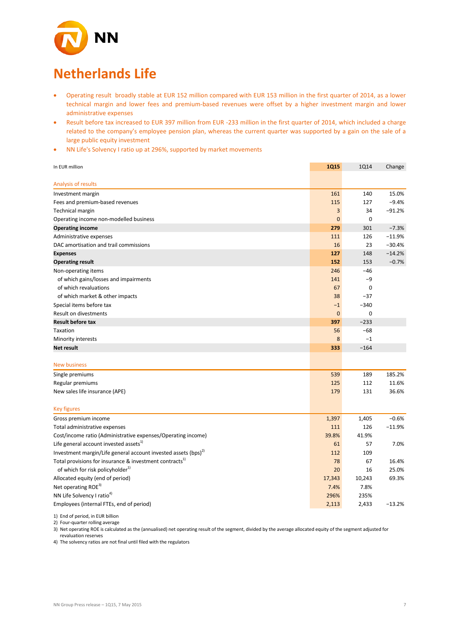

# **Netherlands Life**

- Operating result broadly stable at EUR 152 million compared with EUR 153 million in the first quarter of 2014, as a lower technical margin and lower fees and premium-based revenues were offset by a higher investment margin and lower administrative expenses
- Result before tax increased to EUR 397 million from EUR -233 million in the first quarter of 2014, which included a charge related to the company's employee pension plan, whereas the current quarter was supported by a gain on the sale of a large public equity investment
- NN Life's Solvency I ratio up at 296%, supported by market movements

| In EUR million                                                             | <b>1Q15</b>  | <b>1Q14</b> | Change   |
|----------------------------------------------------------------------------|--------------|-------------|----------|
|                                                                            |              |             |          |
| Analysis of results                                                        |              |             |          |
| Investment margin                                                          | 161          | 140         | 15.0%    |
| Fees and premium-based revenues                                            | 115          | 127         | $-9.4%$  |
| <b>Technical margin</b>                                                    | 3            | 34          | $-91.2%$ |
| Operating income non-modelled business                                     | $\mathbf{0}$ | 0           |          |
| <b>Operating income</b>                                                    | 279          | 301         | $-7.3%$  |
| Administrative expenses                                                    | 111          | 126         | $-11.9%$ |
| DAC amortisation and trail commissions                                     | 16           | 23          | $-30.4%$ |
| <b>Expenses</b>                                                            | 127          | 148         | $-14.2%$ |
| <b>Operating result</b>                                                    | 152          | 153         | $-0.7%$  |
| Non-operating items                                                        | 246          | $-46$       |          |
| of which gains/losses and impairments                                      | 141          | $-9$        |          |
| of which revaluations                                                      | 67           | 0           |          |
| of which market & other impacts                                            | 38           | $-37$       |          |
| Special items before tax                                                   | $-1$         | $-340$      |          |
| Result on divestments                                                      | $\bf{0}$     | 0           |          |
| <b>Result before tax</b>                                                   | 397          | $-233$      |          |
| <b>Taxation</b>                                                            | 56           | $-68$       |          |
| Minority interests                                                         | 8            | $-1$        |          |
| <b>Net result</b>                                                          | 333          | $-164$      |          |
|                                                                            |              |             |          |
| <b>New business</b>                                                        |              |             |          |
| Single premiums                                                            | 539          | 189         | 185.2%   |
| Regular premiums                                                           | 125          | 112         | 11.6%    |
| New sales life insurance (APE)                                             | 179          | 131         | 36.6%    |
| <b>Key figures</b>                                                         |              |             |          |
| Gross premium income                                                       | 1,397        | 1,405       | $-0.6%$  |
| Total administrative expenses                                              | 111          | 126         | $-11.9%$ |
| Cost/income ratio (Administrative expenses/Operating income)               | 39.8%        | 41.9%       |          |
| Life general account invested assets <sup>1)</sup>                         | 61           | 57          | 7.0%     |
| Investment margin/Life general account invested assets (bps) <sup>2)</sup> | 112          | 109         |          |
| Total provisions for insurance & investment contracts <sup>1</sup>         | 78           | 67          | 16.4%    |
| of which for risk policyholder <sup>1)</sup>                               | 20           | 16          | 25.0%    |
| Allocated equity (end of period)                                           | 17,343       | 10,243      | 69.3%    |
| Net operating ROE <sup>3)</sup>                                            | 7.4%         | 7.8%        |          |
| NN Life Solvency I ratio <sup>4)</sup>                                     | 296%         | 235%        |          |
| Employees (internal FTEs, end of period)                                   | 2,113        | 2,433       | $-13.2%$ |

1) End of period, in EUR billion

2) Four-quarter rolling average

3) Net operating ROE is calculated as the (annualised) net operating result of the segment, divided by the average allocated equity of the segment adjusted for revaluation reserves

4) The solvency ratios are not final until filed with the regulators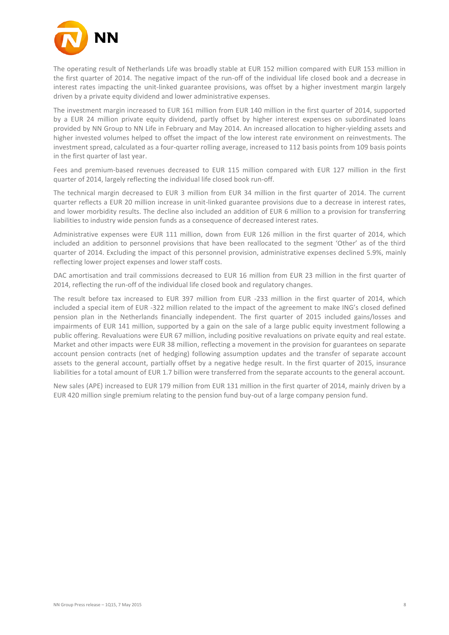

The operating result of Netherlands Life was broadly stable at EUR 152 million compared with EUR 153 million in the first quarter of 2014. The negative impact of the run-off of the individual life closed book and a decrease in interest rates impacting the unit-linked guarantee provisions, was offset by a higher investment margin largely driven by a private equity dividend and lower administrative expenses.

The investment margin increased to EUR 161 million from EUR 140 million in the first quarter of 2014, supported by a EUR 24 million private equity dividend, partly offset by higher interest expenses on subordinated loans provided by NN Group to NN Life in February and May 2014. An increased allocation to higher-yielding assets and higher invested volumes helped to offset the impact of the low interest rate environment on reinvestments. The investment spread, calculated as a four-quarter rolling average, increased to 112 basis points from 109 basis points in the first quarter of last year.

Fees and premium-based revenues decreased to EUR 115 million compared with EUR 127 million in the first quarter of 2014, largely reflecting the individual life closed book run-off.

The technical margin decreased to EUR 3 million from EUR 34 million in the first quarter of 2014. The current quarter reflects a EUR 20 million increase in unit-linked guarantee provisions due to a decrease in interest rates, and lower morbidity results. The decline also included an addition of EUR 6 million to a provision for transferring liabilities to industry wide pension funds as a consequence of decreased interest rates.

Administrative expenses were EUR 111 million, down from EUR 126 million in the first quarter of 2014, which included an addition to personnel provisions that have been reallocated to the segment 'Other' as of the third quarter of 2014. Excluding the impact of this personnel provision, administrative expenses declined 5.9%, mainly reflecting lower project expenses and lower staff costs.

DAC amortisation and trail commissions decreased to EUR 16 million from EUR 23 million in the first quarter of 2014, reflecting the run-off of the individual life closed book and regulatory changes.

The result before tax increased to EUR 397 million from EUR -233 million in the first quarter of 2014, which included a special item of EUR -322 million related to the impact of the agreement to make ING's closed defined pension plan in the Netherlands financially independent. The first quarter of 2015 included gains/losses and impairments of EUR 141 million, supported by a gain on the sale of a large public equity investment following a public offering. Revaluations were EUR 67 million, including positive revaluations on private equity and real estate. Market and other impacts were EUR 38 million, reflecting a movement in the provision for guarantees on separate account pension contracts (net of hedging) following assumption updates and the transfer of separate account assets to the general account, partially offset by a negative hedge result. In the first quarter of 2015, insurance liabilities for a total amount of EUR 1.7 billion were transferred from the separate accounts to the general account.

New sales (APE) increased to EUR 179 million from EUR 131 million in the first quarter of 2014, mainly driven by a EUR 420 million single premium relating to the pension fund buy-out of a large company pension fund.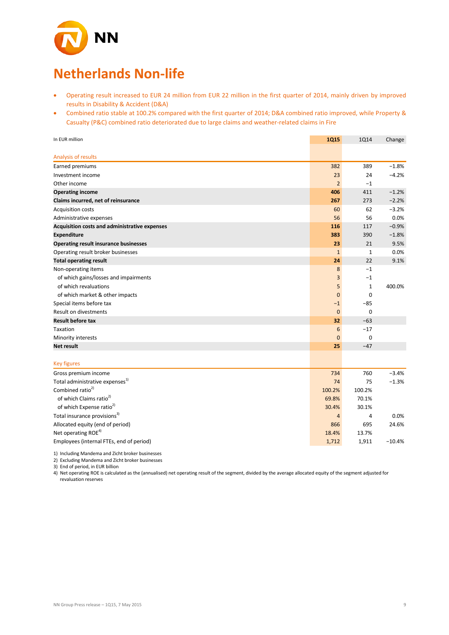

# **Netherlands Non-life**

- Operating result increased to EUR 24 million from EUR 22 million in the first quarter of 2014, mainly driven by improved results in Disability & Accident (D&A)
- Combined ratio stable at 100.2% compared with the first quarter of 2014; D&A combined ratio improved, while Property & Casualty (P&C) combined ratio deteriorated due to large claims and weather-related claims in Fire

| In EUR million                                | <b>1Q15</b>    | 1014           | Change   |
|-----------------------------------------------|----------------|----------------|----------|
|                                               |                |                |          |
| Analysis of results                           |                |                |          |
| Earned premiums                               | 382            | 389            | $-1.8%$  |
| Investment income                             | 23             | 24             | $-4.2%$  |
| Other income                                  | $\overline{2}$ | $-1$           |          |
| <b>Operating income</b>                       | 406            | 411            | $-1.2%$  |
| Claims incurred, net of reinsurance           | 267            | 273            | $-2.2%$  |
| Acquisition costs                             | 60             | 62             | $-3.2%$  |
| Administrative expenses                       | 56             | 56             | 0.0%     |
| Acquisition costs and administrative expenses | 116            | 117            | $-0.9%$  |
| <b>Expenditure</b>                            | 383            | 390            | $-1.8%$  |
| <b>Operating result insurance businesses</b>  | 23             | 21             | 9.5%     |
| Operating result broker businesses            | $\mathbf{1}$   | $\mathbf{1}$   | 0.0%     |
| <b>Total operating result</b>                 | 24             | 22             | 9.1%     |
| Non-operating items                           | 8              | $-1$           |          |
| of which gains/losses and impairments         | 3              | $-1$           |          |
| of which revaluations                         | 5              | $\mathbf 1$    | 400.0%   |
| of which market & other impacts               | $\mathbf{0}$   | $\mathbf 0$    |          |
| Special items before tax                      | $-1$           | $-85$          |          |
| Result on divestments                         | $\mathbf 0$    | $\mathbf 0$    |          |
| <b>Result before tax</b>                      | 32             | $-63$          |          |
| Taxation                                      | 6              | $-17$          |          |
| Minority interests                            | $\overline{0}$ | $\mathbf 0$    |          |
| <b>Net result</b>                             | 25             | $-47$          |          |
|                                               |                |                |          |
| <b>Key figures</b>                            |                |                |          |
| Gross premium income                          | 734            | 760            | $-3.4%$  |
| Total administrative expenses <sup>1)</sup>   | 74             | 75             | $-1.3%$  |
| Combined ratio <sup>2)</sup>                  | 100.2%         | 100.2%         |          |
| of which Claims ratio <sup>2)</sup>           | 69.8%          | 70.1%          |          |
| of which Expense ratio <sup>2)</sup>          | 30.4%          | 30.1%          |          |
| Total insurance provisions <sup>3)</sup>      | $\overline{4}$ | $\overline{4}$ | 0.0%     |
| Allocated equity (end of period)              | 866            | 695            | 24.6%    |
| Net operating ROE <sup>4)</sup>               | 18.4%          | 13.7%          |          |
| Employees (internal FTEs, end of period)      | 1,712          | 1,911          | $-10.4%$ |

1) Including Mandema and Zicht broker businesses

2) Excluding Mandema and Zicht broker businesses

3) End of period, in EUR billion

4) Net operating ROE is calculated as the (annualised) net operating result of the segment, divided by the average allocated equity of the segment adjusted for revaluation reserves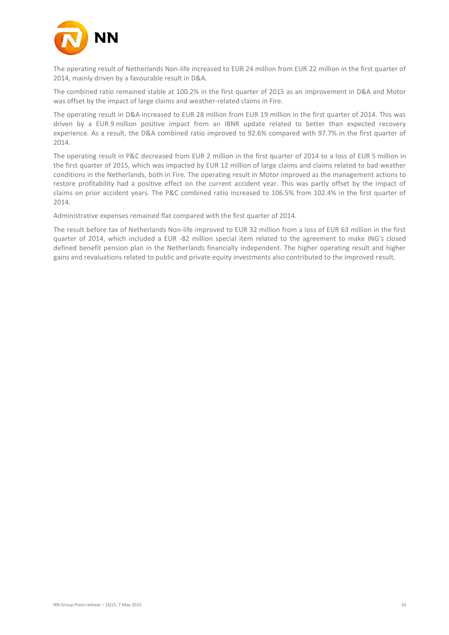

The operating result of Netherlands Non-life increased to EUR 24 million from EUR 22 million in the first quarter of 2014, mainly driven by a favourable result in D&A.

The combined ratio remained stable at 100.2% in the first quarter of 2015 as an improvement in D&A and Motor was offset by the impact of large claims and weather-related claims in Fire.

The operating result in D&A increased to EUR 28 million from EUR 19 million in the first quarter of 2014. This was driven by a EUR 9 million positive impact from an IBNR update related to better than expected recovery experience. As a result, the D&A combined ratio improved to 92.6% compared with 97.7% in the first quarter of 2014.

The operating result in P&C decreased from EUR 2 million in the first quarter of 2014 to a loss of EUR 5 million in the first quarter of 2015, which was impacted by EUR 12 million of large claims and claims related to bad weather conditions in the Netherlands, both in Fire. The operating result in Motor improved as the management actions to restore profitability had a positive effect on the current accident year. This was partly offset by the impact of claims on prior accident years. The P&C combined ratio increased to 106.5% from 102.4% in the first quarter of 2014.

Administrative expenses remained flat compared with the first quarter of 2014.

The result before tax of Netherlands Non-life improved to EUR 32 million from a loss of EUR 63 million in the first quarter of 2014, which included a EUR -82 million special item related to the agreement to make ING's closed defined benefit pension plan in the Netherlands financially independent. The higher operating result and higher gains and revaluations related to public and private equity investments also contributed to the improved result.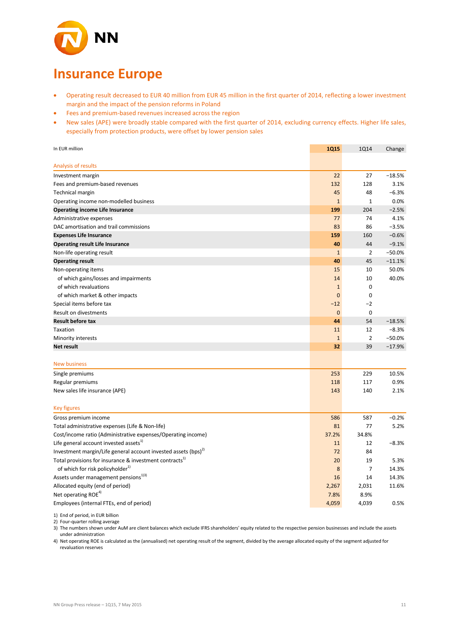

# **Insurance Europe**

- Operating result decreased to EUR 40 million from EUR 45 million in the first quarter of 2014, reflecting a lower investment margin and the impact of the pension reforms in Poland
- Fees and premium-based revenues increased across the region
- New sales (APE) were broadly stable compared with the first quarter of 2014, excluding currency effects. Higher life sales, especially from protection products, were offset by lower pension sales

| Analysis of results<br>$-18.5%$<br>22<br>27<br>Investment margin<br>Fees and premium-based revenues<br>132<br>128<br>3.1%<br>45<br>48<br>$-6.3%$<br><b>Technical margin</b><br>$\mathbf{1}$<br>$\mathbf{1}$<br>Operating income non-modelled business<br>0.0%<br>199<br>204<br>$-2.5%$<br><b>Operating income Life Insurance</b><br>77<br>74<br>4.1%<br>Administrative expenses<br>83<br>86<br>$-3.5%$<br>DAC amortisation and trail commissions<br>$-0.6%$<br><b>Expenses Life Insurance</b><br>159<br>160<br>40<br>44<br>$-9.1%$<br><b>Operating result Life Insurance</b><br>$-50.0%$<br>$\overline{2}$<br>Non-life operating result<br>$\mathbf{1}$<br>45<br>$-11.1%$<br><b>Operating result</b><br>40<br>50.0%<br>Non-operating items<br>15<br>10<br>40.0%<br>of which gains/losses and impairments<br>14<br>10<br>$\mathbf 0$<br>of which revaluations<br>$\mathbf{1}$<br>$\mathbf 0$<br>of which market & other impacts<br>$\overline{0}$<br>$-2$<br>Special items before tax<br>$-12$<br>$\mathbf 0$<br>Result on divestments<br>$\mathbf 0$ |
|------------------------------------------------------------------------------------------------------------------------------------------------------------------------------------------------------------------------------------------------------------------------------------------------------------------------------------------------------------------------------------------------------------------------------------------------------------------------------------------------------------------------------------------------------------------------------------------------------------------------------------------------------------------------------------------------------------------------------------------------------------------------------------------------------------------------------------------------------------------------------------------------------------------------------------------------------------------------------------------------------------------------------------------------------|
|                                                                                                                                                                                                                                                                                                                                                                                                                                                                                                                                                                                                                                                                                                                                                                                                                                                                                                                                                                                                                                                      |
|                                                                                                                                                                                                                                                                                                                                                                                                                                                                                                                                                                                                                                                                                                                                                                                                                                                                                                                                                                                                                                                      |
|                                                                                                                                                                                                                                                                                                                                                                                                                                                                                                                                                                                                                                                                                                                                                                                                                                                                                                                                                                                                                                                      |
|                                                                                                                                                                                                                                                                                                                                                                                                                                                                                                                                                                                                                                                                                                                                                                                                                                                                                                                                                                                                                                                      |
|                                                                                                                                                                                                                                                                                                                                                                                                                                                                                                                                                                                                                                                                                                                                                                                                                                                                                                                                                                                                                                                      |
|                                                                                                                                                                                                                                                                                                                                                                                                                                                                                                                                                                                                                                                                                                                                                                                                                                                                                                                                                                                                                                                      |
|                                                                                                                                                                                                                                                                                                                                                                                                                                                                                                                                                                                                                                                                                                                                                                                                                                                                                                                                                                                                                                                      |
|                                                                                                                                                                                                                                                                                                                                                                                                                                                                                                                                                                                                                                                                                                                                                                                                                                                                                                                                                                                                                                                      |
|                                                                                                                                                                                                                                                                                                                                                                                                                                                                                                                                                                                                                                                                                                                                                                                                                                                                                                                                                                                                                                                      |
|                                                                                                                                                                                                                                                                                                                                                                                                                                                                                                                                                                                                                                                                                                                                                                                                                                                                                                                                                                                                                                                      |
|                                                                                                                                                                                                                                                                                                                                                                                                                                                                                                                                                                                                                                                                                                                                                                                                                                                                                                                                                                                                                                                      |
|                                                                                                                                                                                                                                                                                                                                                                                                                                                                                                                                                                                                                                                                                                                                                                                                                                                                                                                                                                                                                                                      |
|                                                                                                                                                                                                                                                                                                                                                                                                                                                                                                                                                                                                                                                                                                                                                                                                                                                                                                                                                                                                                                                      |
|                                                                                                                                                                                                                                                                                                                                                                                                                                                                                                                                                                                                                                                                                                                                                                                                                                                                                                                                                                                                                                                      |
|                                                                                                                                                                                                                                                                                                                                                                                                                                                                                                                                                                                                                                                                                                                                                                                                                                                                                                                                                                                                                                                      |
|                                                                                                                                                                                                                                                                                                                                                                                                                                                                                                                                                                                                                                                                                                                                                                                                                                                                                                                                                                                                                                                      |
|                                                                                                                                                                                                                                                                                                                                                                                                                                                                                                                                                                                                                                                                                                                                                                                                                                                                                                                                                                                                                                                      |
|                                                                                                                                                                                                                                                                                                                                                                                                                                                                                                                                                                                                                                                                                                                                                                                                                                                                                                                                                                                                                                                      |
|                                                                                                                                                                                                                                                                                                                                                                                                                                                                                                                                                                                                                                                                                                                                                                                                                                                                                                                                                                                                                                                      |
| <b>Result before tax</b><br>44<br>54<br>$-18.5%$                                                                                                                                                                                                                                                                                                                                                                                                                                                                                                                                                                                                                                                                                                                                                                                                                                                                                                                                                                                                     |
| Taxation<br>12<br>$-8.3%$<br>11                                                                                                                                                                                                                                                                                                                                                                                                                                                                                                                                                                                                                                                                                                                                                                                                                                                                                                                                                                                                                      |
| $\overline{2}$<br>$1\,$<br>$-50.0%$<br>Minority interests                                                                                                                                                                                                                                                                                                                                                                                                                                                                                                                                                                                                                                                                                                                                                                                                                                                                                                                                                                                            |
| 32<br>39<br>$-17.9%$<br>Net result                                                                                                                                                                                                                                                                                                                                                                                                                                                                                                                                                                                                                                                                                                                                                                                                                                                                                                                                                                                                                   |
| <b>New business</b>                                                                                                                                                                                                                                                                                                                                                                                                                                                                                                                                                                                                                                                                                                                                                                                                                                                                                                                                                                                                                                  |
|                                                                                                                                                                                                                                                                                                                                                                                                                                                                                                                                                                                                                                                                                                                                                                                                                                                                                                                                                                                                                                                      |
| 253<br>229<br>10.5%<br>Single premiums                                                                                                                                                                                                                                                                                                                                                                                                                                                                                                                                                                                                                                                                                                                                                                                                                                                                                                                                                                                                               |
| 0.9%<br>Regular premiums<br>118<br>117                                                                                                                                                                                                                                                                                                                                                                                                                                                                                                                                                                                                                                                                                                                                                                                                                                                                                                                                                                                                               |
| 143<br>New sales life insurance (APE)<br>140<br>2.1%                                                                                                                                                                                                                                                                                                                                                                                                                                                                                                                                                                                                                                                                                                                                                                                                                                                                                                                                                                                                 |
| <b>Key figures</b>                                                                                                                                                                                                                                                                                                                                                                                                                                                                                                                                                                                                                                                                                                                                                                                                                                                                                                                                                                                                                                   |
| $-0.2%$<br>586<br>587<br>Gross premium income                                                                                                                                                                                                                                                                                                                                                                                                                                                                                                                                                                                                                                                                                                                                                                                                                                                                                                                                                                                                        |
| Total administrative expenses (Life & Non-life)<br>81<br>77<br>5.2%                                                                                                                                                                                                                                                                                                                                                                                                                                                                                                                                                                                                                                                                                                                                                                                                                                                                                                                                                                                  |
| Cost/income ratio (Administrative expenses/Operating income)<br>37.2%<br>34.8%                                                                                                                                                                                                                                                                                                                                                                                                                                                                                                                                                                                                                                                                                                                                                                                                                                                                                                                                                                       |
| Life general account invested assets <sup>1)</sup><br>12<br>$-8.3%$<br>11                                                                                                                                                                                                                                                                                                                                                                                                                                                                                                                                                                                                                                                                                                                                                                                                                                                                                                                                                                            |
| Investment margin/Life general account invested assets $(bps)^{2}$<br>72<br>84                                                                                                                                                                                                                                                                                                                                                                                                                                                                                                                                                                                                                                                                                                                                                                                                                                                                                                                                                                       |
| Total provisions for insurance & investment contracts <sup>1)</sup><br>20<br>19<br>5.3%                                                                                                                                                                                                                                                                                                                                                                                                                                                                                                                                                                                                                                                                                                                                                                                                                                                                                                                                                              |
| of which for risk policyholder <sup>1)</sup><br>7<br>8<br>14.3%                                                                                                                                                                                                                                                                                                                                                                                                                                                                                                                                                                                                                                                                                                                                                                                                                                                                                                                                                                                      |
| Assets under management pensions <sup>13)</sup><br>16<br>14<br>14.3%                                                                                                                                                                                                                                                                                                                                                                                                                                                                                                                                                                                                                                                                                                                                                                                                                                                                                                                                                                                 |
| Allocated equity (end of period)<br>2,267<br>2,031<br>11.6%                                                                                                                                                                                                                                                                                                                                                                                                                                                                                                                                                                                                                                                                                                                                                                                                                                                                                                                                                                                          |
| Net operating ROE <sup>4)</sup><br>7.8%<br>8.9%                                                                                                                                                                                                                                                                                                                                                                                                                                                                                                                                                                                                                                                                                                                                                                                                                                                                                                                                                                                                      |
| 4,059<br>4,039<br>Employees (internal FTEs, end of period)<br>0.5%                                                                                                                                                                                                                                                                                                                                                                                                                                                                                                                                                                                                                                                                                                                                                                                                                                                                                                                                                                                   |

1) End of period, in EUR billion

2) Four-quarter rolling average 3) The numbers shown under AuM are client balances which exclude IFRS shareholders' equity related to the respective pension businesses and include the assets under administration

4) Net operating ROE is calculated as the (annualised) net operating result of the segment, divided by the average allocated equity of the segment adjusted for revaluation reserves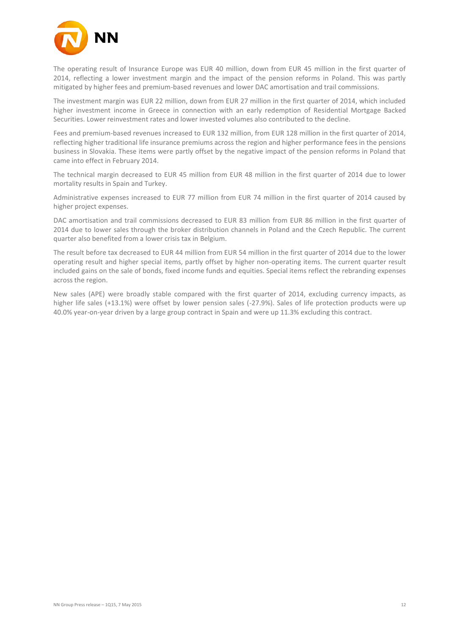

The operating result of Insurance Europe was EUR 40 million, down from EUR 45 million in the first quarter of 2014, reflecting a lower investment margin and the impact of the pension reforms in Poland. This was partly mitigated by higher fees and premium-based revenues and lower DAC amortisation and trail commissions.

The investment margin was EUR 22 million, down from EUR 27 million in the first quarter of 2014, which included higher investment income in Greece in connection with an early redemption of Residential Mortgage Backed Securities. Lower reinvestment rates and lower invested volumes also contributed to the decline.

Fees and premium-based revenues increased to EUR 132 million, from EUR 128 million in the first quarter of 2014, reflecting higher traditional life insurance premiums across the region and higher performance fees in the pensions business in Slovakia. These items were partly offset by the negative impact of the pension reforms in Poland that came into effect in February 2014.

The technical margin decreased to EUR 45 million from EUR 48 million in the first quarter of 2014 due to lower mortality results in Spain and Turkey.

Administrative expenses increased to EUR 77 million from EUR 74 million in the first quarter of 2014 caused by higher project expenses.

DAC amortisation and trail commissions decreased to EUR 83 million from EUR 86 million in the first quarter of 2014 due to lower sales through the broker distribution channels in Poland and the Czech Republic. The current quarter also benefited from a lower crisis tax in Belgium.

The result before tax decreased to EUR 44 million from EUR 54 million in the first quarter of 2014 due to the lower operating result and higher special items, partly offset by higher non-operating items. The current quarter result included gains on the sale of bonds, fixed income funds and equities. Special items reflect the rebranding expenses across the region.

New sales (APE) were broadly stable compared with the first quarter of 2014, excluding currency impacts, as higher life sales (+13.1%) were offset by lower pension sales (-27.9%). Sales of life protection products were up 40.0% year-on-year driven by a large group contract in Spain and were up 11.3% excluding this contract.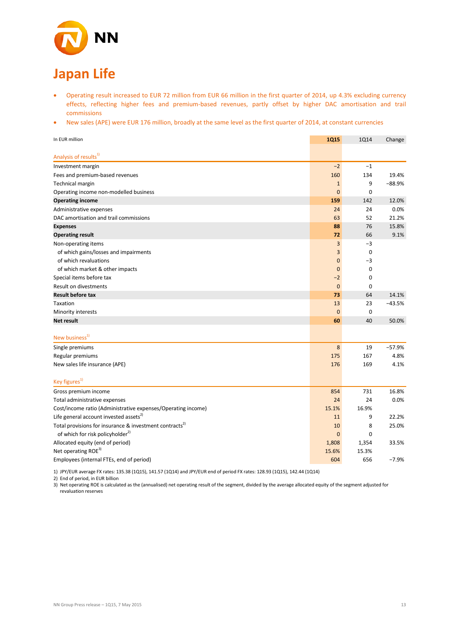

### Operating result increased to EUR 72 million from EUR 66 million in the first quarter of 2014, up 4.3% excluding currency effects, reflecting higher fees and premium-based revenues, partly offset by higher DAC amortisation and trail commissions

• New sales (APE) were EUR 176 million, broadly at the same level as the first quarter of 2014, at constant currencies

| In EUR million                                                      | <b>1Q15</b>    | <b>1Q14</b> | Change   |
|---------------------------------------------------------------------|----------------|-------------|----------|
| Analysis of results <sup>1)</sup>                                   |                |             |          |
| Investment margin                                                   | $-2$           | $-1$        |          |
| Fees and premium-based revenues                                     | 160            | 134         | 19.4%    |
| <b>Technical margin</b>                                             | $\mathbf{1}$   | 9           | $-88.9%$ |
| Operating income non-modelled business                              | $\overline{0}$ | $\mathbf 0$ |          |
| <b>Operating income</b>                                             | 159            | 142         | 12.0%    |
| Administrative expenses                                             | 24             | 24          | 0.0%     |
| DAC amortisation and trail commissions                              | 63             | 52          | 21.2%    |
| <b>Expenses</b>                                                     | 88             | 76          | 15.8%    |
| <b>Operating result</b>                                             | 72             | 66          | 9.1%     |
| Non-operating items                                                 | 3              | $-3$        |          |
| of which gains/losses and impairments                               | 3              | $\mathbf 0$ |          |
| of which revaluations                                               | $\mathbf 0$    | $-3$        |          |
| of which market & other impacts                                     | $\mathbf 0$    | $\mathbf 0$ |          |
| Special items before tax                                            | $-2$           | $\mathbf 0$ |          |
| Result on divestments                                               | $\mathbf{0}$   | 0           |          |
| <b>Result before tax</b>                                            | 73             | 64          | 14.1%    |
| Taxation                                                            | 13             | 23          | $-43.5%$ |
| Minority interests                                                  | $\mathbf{0}$   | $\mathbf 0$ |          |
| <b>Net result</b>                                                   | 60             | 40          | 50.0%    |
| New business <sup>1)</sup>                                          |                |             |          |
| Single premiums                                                     | $\bf 8$        | 19          | $-57.9%$ |
| Regular premiums                                                    | 175            | 167         | 4.8%     |
| New sales life insurance (APE)                                      | 176            | 169         | 4.1%     |
| Key figures <sup>1)</sup>                                           |                |             |          |
| Gross premium income                                                | 854            | 731         | 16.8%    |
| Total administrative expenses                                       | 24             | 24          | 0.0%     |
| Cost/income ratio (Administrative expenses/Operating income)        | 15.1%          | 16.9%       |          |
| Life general account invested assets <sup>2)</sup>                  | 11             | 9           | 22.2%    |
| Total provisions for insurance & investment contracts <sup>2)</sup> | 10             | 8           | 25.0%    |
| of which for risk policyholder <sup>2)</sup>                        | $\mathbf{0}$   | $\mathbf 0$ |          |
| Allocated equity (end of period)                                    | 1,808          | 1,354       | 33.5%    |
| Net operating ROE <sup>3)</sup>                                     | 15.6%          | 15.3%       |          |
| Employees (internal FTEs, end of period)                            | 604            | 656         | $-7.9%$  |

1) JPY/EUR average FX rates: 135.38 (1Q15), 141.57 (1Q14) and JPY/EUR end of period FX rates: 128.93 (1Q15), 142.44 (1Q14)

2) End of period, in EUR billion

3) Net operating ROE is calculated as the (annualised) net operating result of the segment, divided by the average allocated equity of the segment adjusted for revaluation reserves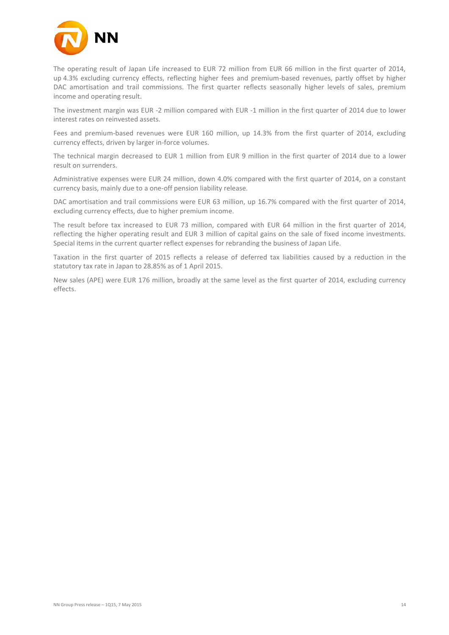

The operating result of Japan Life increased to EUR 72 million from EUR 66 million in the first quarter of 2014, up 4.3% excluding currency effects, reflecting higher fees and premium-based revenues, partly offset by higher DAC amortisation and trail commissions. The first quarter reflects seasonally higher levels of sales, premium income and operating result.

The investment margin was EUR -2 million compared with EUR -1 million in the first quarter of 2014 due to lower interest rates on reinvested assets.

Fees and premium-based revenues were EUR 160 million, up 14.3% from the first quarter of 2014, excluding currency effects, driven by larger in-force volumes.

The technical margin decreased to EUR 1 million from EUR 9 million in the first quarter of 2014 due to a lower result on surrenders.

Administrative expenses were EUR 24 million, down 4.0% compared with the first quarter of 2014, on a constant currency basis, mainly due to a one-off pension liability release.

DAC amortisation and trail commissions were EUR 63 million, up 16.7% compared with the first quarter of 2014, excluding currency effects, due to higher premium income.

The result before tax increased to EUR 73 million, compared with EUR 64 million in the first quarter of 2014, reflecting the higher operating result and EUR 3 million of capital gains on the sale of fixed income investments. Special items in the current quarter reflect expenses for rebranding the business of Japan Life.

Taxation in the first quarter of 2015 reflects a release of deferred tax liabilities caused by a reduction in the statutory tax rate in Japan to 28.85% as of 1 April 2015.

New sales (APE) were EUR 176 million, broadly at the same level as the first quarter of 2014, excluding currency effects.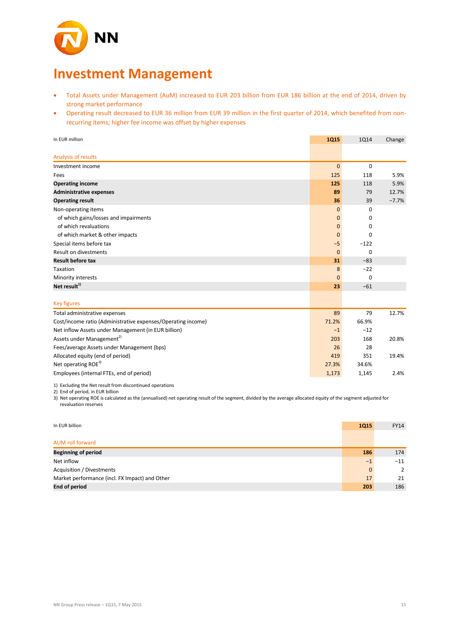

## **Investment Management**

- Total Assets under Management (AuM) increased to EUR 203 billion from EUR 186 billion at the end of 2014, driven by strong market performance
- Operating result decreased to EUR 36 million from EUR 39 million in the first quarter of 2014, which benefited from nonrecurring items; higher fee income was offset by higher expenses

| In EUR million                                               | <b>1Q15</b> | <b>1Q14</b>                 | Change  |
|--------------------------------------------------------------|-------------|-----------------------------|---------|
| Analysis of results                                          |             |                             |         |
| Investment income                                            |             | $\mathbf{0}$<br>$\mathbf 0$ |         |
| Fees                                                         | 125         | 118                         | 5.9%    |
| <b>Operating income</b>                                      | 125         | 118                         | 5.9%    |
| <b>Administrative expenses</b>                               | 89          | 79                          | 12.7%   |
| <b>Operating result</b>                                      | 36          | 39                          | $-7.7%$ |
| Non-operating items                                          |             | $\mathbf{0}$<br>0           |         |
| of which gains/losses and impairments                        |             | $\mathbf 0$<br>0            |         |
| of which revaluations                                        |             | $\mathbf{0}$<br>0           |         |
| of which market & other impacts                              |             | $\mathbf{0}$<br>$\Omega$    |         |
| Special items before tax                                     | $-5$        | $-122$                      |         |
| Result on divestments                                        |             | $\mathbf{0}$<br>$\mathbf 0$ |         |
| <b>Result before tax</b>                                     | 31          | $-83$                       |         |
| Taxation                                                     |             | 8<br>$-22$                  |         |
| Minority interests                                           |             | $\mathbf{0}$<br>0           |         |
| Net result <sup>1)</sup>                                     | 23          | $-61$                       |         |
| <b>Key figures</b>                                           |             |                             |         |
| Total administrative expenses                                | 89          | 79                          | 12.7%   |
| Cost/income ratio (Administrative expenses/Operating income) | 71.2%       | 66.9%                       |         |
| Net inflow Assets under Management (in EUR billion)          | $-1$        | $-12$                       |         |
| Assets under Management <sup>2)</sup>                        | 203         | 168                         | 20.8%   |
| Fees/average Assets under Management (bps)                   | 26          | 28                          |         |
| Allocated equity (end of period)                             | 419         | 351                         | 19.4%   |
| Net operating ROE <sup>3)</sup>                              | 27.3%       | 34.6%                       |         |
| Employees (internal FTEs, end of period)                     | 1,173       | 1,145                       | 2.4%    |

1) Excluding the Net result from discontinued operations

2) End of period, in EUR billion

3) Net operating ROE is calculated as the (annualised) net operating result of the segment, divided by the average allocated equity of the segment adjusted for revaluation reserves

| In EUR billion                                 | <b>1Q15</b>  | <b>FY14</b>    |
|------------------------------------------------|--------------|----------------|
|                                                |              |                |
| <b>AUM roll forward</b>                        |              |                |
| <b>Beginning of period</b>                     | 186          | 174            |
| Net inflow                                     | $-1$         | $-11$          |
| Acquisition / Divestments                      | $\mathbf{0}$ | $\overline{2}$ |
| Market performance (incl. FX Impact) and Other | 17           | 21             |
| <b>End of period</b>                           | 203          | 186            |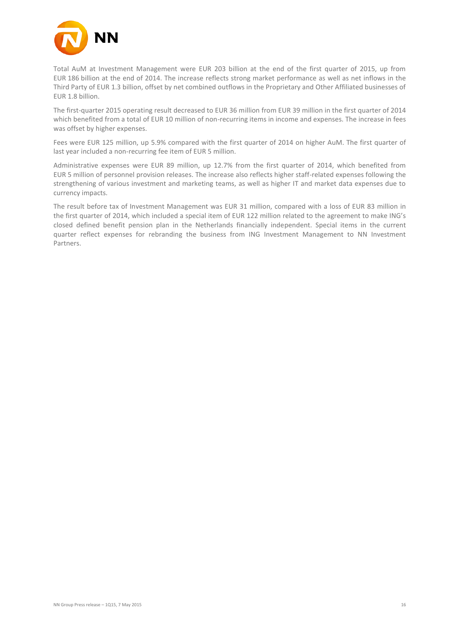

Total AuM at Investment Management were EUR 203 billion at the end of the first quarter of 2015, up from EUR 186 billion at the end of 2014. The increase reflects strong market performance as well as net inflows in the Third Party of EUR 1.3 billion, offset by net combined outflows in the Proprietary and Other Affiliated businesses of EUR 1.8 billion.

The first-quarter 2015 operating result decreased to EUR 36 million from EUR 39 million in the first quarter of 2014 which benefited from a total of EUR 10 million of non-recurring items in income and expenses. The increase in fees was offset by higher expenses.

Fees were EUR 125 million, up 5.9% compared with the first quarter of 2014 on higher AuM. The first quarter of last year included a non-recurring fee item of EUR 5 million.

Administrative expenses were EUR 89 million, up 12.7% from the first quarter of 2014, which benefited from EUR 5 million of personnel provision releases. The increase also reflects higher staff-related expenses following the strengthening of various investment and marketing teams, as well as higher IT and market data expenses due to currency impacts.

The result before tax of Investment Management was EUR 31 million, compared with a loss of EUR 83 million in the first quarter of 2014, which included a special item of EUR 122 million related to the agreement to make ING's closed defined benefit pension plan in the Netherlands financially independent. Special items in the current quarter reflect expenses for rebranding the business from ING Investment Management to NN Investment Partners.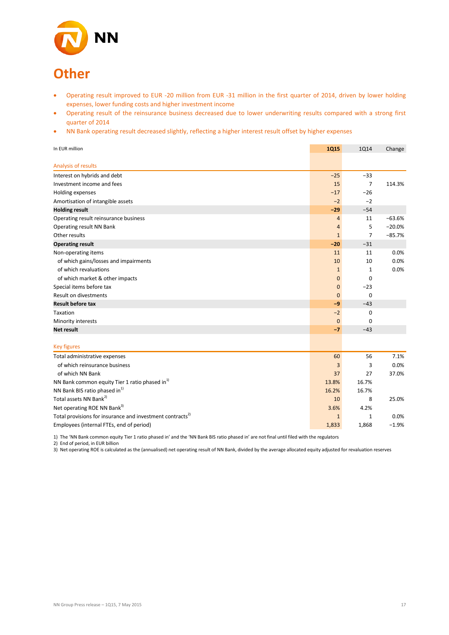

# **Other**

- Operating result improved to EUR -20 million from EUR -31 million in the first quarter of 2014, driven by lower holding expenses, lower funding costs and higher investment income
- Operating result of the reinsurance business decreased due to lower underwriting results compared with a strong first quarter of 2014
- NN Bank operating result decreased slightly, reflecting a higher interest result offset by higher expenses

| In EUR million                                                       | <b>1Q15</b>    | <b>1Q14</b>    | Change   |
|----------------------------------------------------------------------|----------------|----------------|----------|
| Analysis of results                                                  |                |                |          |
| Interest on hybrids and debt                                         | $-25$          | $-33$          |          |
| Investment income and fees                                           | 15             | $\overline{7}$ | 114.3%   |
| Holding expenses                                                     | $-17$          | $-26$          |          |
| Amortisation of intangible assets                                    | $-2$           | $-2$           |          |
| <b>Holding result</b>                                                | $-29$          | $-54$          |          |
| Operating result reinsurance business                                | $\overline{4}$ | 11             | $-63.6%$ |
| Operating result NN Bank                                             | $\overline{4}$ | 5              | $-20.0%$ |
| Other results                                                        | $\mathbf{1}$   | 7              | $-85.7%$ |
| <b>Operating result</b>                                              | $-20$          | $-31$          |          |
| Non-operating items                                                  | 11             | 11             | 0.0%     |
| of which gains/losses and impairments                                | 10             | 10             | 0.0%     |
| of which revaluations                                                | $\mathbf{1}$   | 1              | 0.0%     |
| of which market & other impacts                                      | $\mathbf 0$    | $\mathbf 0$    |          |
| Special items before tax                                             | $\mathbf 0$    | $-23$          |          |
| <b>Result on divestments</b>                                         | $\mathbf{0}$   | $\mathbf 0$    |          |
| <b>Result before tax</b>                                             | $-9$           | $-43$          |          |
| Taxation                                                             | $-2$           | 0              |          |
| Minority interests                                                   | $\mathbf{0}$   | $\mathbf 0$    |          |
| <b>Net result</b>                                                    | $-7$           | $-43$          |          |
| <b>Key figures</b>                                                   |                |                |          |
| Total administrative expenses                                        | 60             | 56             | 7.1%     |
| of which reinsurance business                                        | 3              | 3              | 0.0%     |
| of which NN Bank                                                     | 37             | 27             | 37.0%    |
| NN Bank common equity Tier 1 ratio phased in <sup>1)</sup>           | 13.8%          | 16.7%          |          |
| NN Bank BIS ratio phased in <sup>1)</sup>                            | 16.2%          | 16.7%          |          |
| Total assets NN Bank <sup>2)</sup>                                   | 10             | 8              | 25.0%    |
| Net operating ROE NN Bank <sup>3)</sup>                              | 3.6%           | 4.2%           |          |
| Total provisions for insurance and investment contracts <sup>2</sup> | $\mathbf{1}$   | $\mathbf{1}$   | 0.0%     |
| Employees (internal FTEs, end of period)                             | 1,833          | 1,868          | $-1.9%$  |

1) The 'NN Bank common equity Tier 1 ratio phased in' and the 'NN Bank BIS ratio phased in' are not final until filed with the regulators

2) End of period, in EUR billion

3) Net operating ROE is calculated as the (annualised) net operating result of NN Bank, divided by the average allocated equity adjusted for revaluation reserves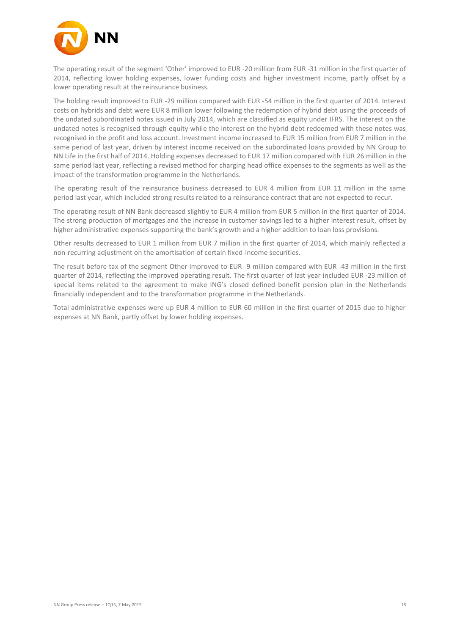

The operating result of the segment 'Other' improved to EUR -20 million from EUR -31 million in the first quarter of 2014, reflecting lower holding expenses, lower funding costs and higher investment income, partly offset by a lower operating result at the reinsurance business.

The holding result improved to EUR -29 million compared with EUR -54 million in the first quarter of 2014. Interest costs on hybrids and debt were EUR 8 million lower following the redemption of hybrid debt using the proceeds of the undated subordinated notes issued in July 2014, which are classified as equity under IFRS. The interest on the undated notes is recognised through equity while the interest on the hybrid debt redeemed with these notes was recognised in the profit and loss account. Investment income increased to EUR 15 million from EUR 7 million in the same period of last year, driven by interest income received on the subordinated loans provided by NN Group to NN Life in the first half of 2014. Holding expenses decreased to EUR 17 million compared with EUR 26 million in the same period last year, reflecting a revised method for charging head office expenses to the segments as well as the impact of the transformation programme in the Netherlands.

The operating result of the reinsurance business decreased to EUR 4 million from EUR 11 million in the same period last year, which included strong results related to a reinsurance contract that are not expected to recur.

The operating result of NN Bank decreased slightly to EUR 4 million from EUR 5 million in the first quarter of 2014. The strong production of mortgages and the increase in customer savings led to a higher interest result, offset by higher administrative expenses supporting the bank's growth and a higher addition to loan loss provisions.

Other results decreased to EUR 1 million from EUR 7 million in the first quarter of 2014, which mainly reflected a non-recurring adjustment on the amortisation of certain fixed-income securities.

The result before tax of the segment Other improved to EUR -9 million compared with EUR -43 million in the first quarter of 2014, reflecting the improved operating result. The first quarter of last year included EUR -23 million of special items related to the agreement to make ING's closed defined benefit pension plan in the Netherlands financially independent and to the transformation programme in the Netherlands.

Total administrative expenses were up EUR 4 million to EUR 60 million in the first quarter of 2015 due to higher expenses at NN Bank, partly offset by lower holding expenses.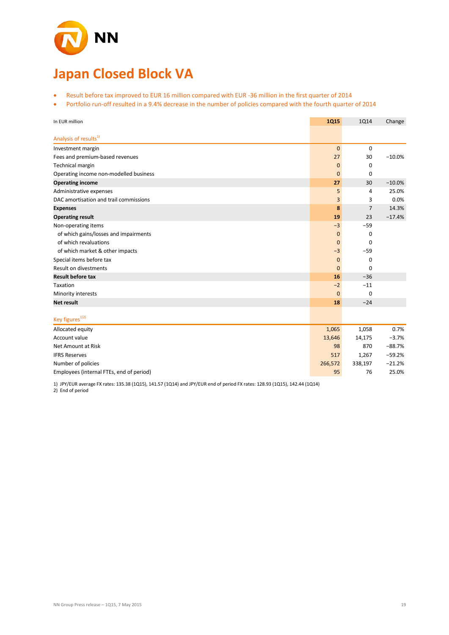

# **Japan Closed Block VA**

- Result before tax improved to EUR 16 million compared with EUR -36 million in the first quarter of 2014
- Portfolio run-off resulted in a 9.4% decrease in the number of policies compared with the fourth quarter of 2014

| In EUR million                           | <b>1Q15</b>    | 1Q14           | Change   |
|------------------------------------------|----------------|----------------|----------|
| Analysis of results <sup>1)</sup>        |                |                |          |
| Investment margin                        | $\overline{0}$ | $\mathbf 0$    |          |
| Fees and premium-based revenues          | 27             | 30             | $-10.0%$ |
| Technical margin                         | $\mathbf 0$    | $\mathbf 0$    |          |
| Operating income non-modelled business   | $\bf{0}$       | 0              |          |
| <b>Operating income</b>                  | 27             | 30             | $-10.0%$ |
| Administrative expenses                  | 5              | 4              | 25.0%    |
| DAC amortisation and trail commissions   | 3              | 3              | 0.0%     |
| <b>Expenses</b>                          | 8              | $\overline{7}$ | 14.3%    |
| <b>Operating result</b>                  | 19             | 23             | $-17.4%$ |
| Non-operating items                      | $-3$           | $-59$          |          |
| of which gains/losses and impairments    | $\mathbf{0}$   | 0              |          |
| of which revaluations                    | $\mathbf 0$    | $\mathbf 0$    |          |
| of which market & other impacts          | $-3$           | $-59$          |          |
| Special items before tax                 | $\mathbf 0$    | $\mathbf 0$    |          |
| <b>Result on divestments</b>             | $\mathbf{0}$   | $\mathbf 0$    |          |
| <b>Result before tax</b>                 | 16             | $-36$          |          |
| Taxation                                 | $-2$           | $-11$          |          |
| Minority interests                       | $\mathbf{0}$   | $\mathbf 0$    |          |
| <b>Net result</b>                        | 18             | $-24$          |          |
|                                          |                |                |          |
| Key figures <sup>1)2)</sup>              |                |                |          |
| Allocated equity                         | 1,065          | 1,058          | 0.7%     |
| Account value                            | 13,646         | 14,175         | $-3.7%$  |
| Net Amount at Risk                       | 98             | 870            | $-88.7%$ |
| <b>IFRS Reserves</b>                     | 517            | 1,267          | $-59.2%$ |
| Number of policies                       | 266,572        | 338,197        | $-21.2%$ |
| Employees (internal FTEs, end of period) | 95             | 76             | 25.0%    |

1) JPY/EUR average FX rates: 135.38 (1Q15), 141.57 (1Q14) and JPY/EUR end of period FX rates: 128.93 (1Q15), 142.44 (1Q14)

2) End of period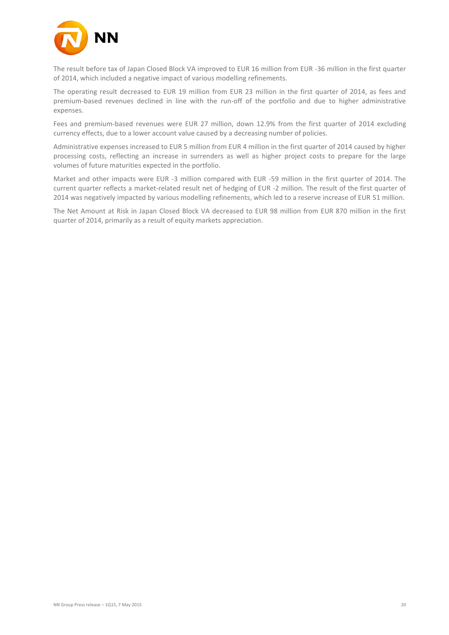

The result before tax of Japan Closed Block VA improved to EUR 16 million from EUR -36 million in the first quarter of 2014, which included a negative impact of various modelling refinements.

The operating result decreased to EUR 19 million from EUR 23 million in the first quarter of 2014, as fees and premium-based revenues declined in line with the run-off of the portfolio and due to higher administrative expenses.

Fees and premium-based revenues were EUR 27 million, down 12.9% from the first quarter of 2014 excluding currency effects, due to a lower account value caused by a decreasing number of policies.

Administrative expenses increased to EUR 5 million from EUR 4 million in the first quarter of 2014 caused by higher processing costs, reflecting an increase in surrenders as well as higher project costs to prepare for the large volumes of future maturities expected in the portfolio.

Market and other impacts were EUR -3 million compared with EUR -59 million in the first quarter of 2014. The current quarter reflects a market-related result net of hedging of EUR -2 million. The result of the first quarter of 2014 was negatively impacted by various modelling refinements, which led to a reserve increase of EUR 51 million.

The Net Amount at Risk in Japan Closed Block VA decreased to EUR 98 million from EUR 870 million in the first quarter of 2014, primarily as a result of equity markets appreciation.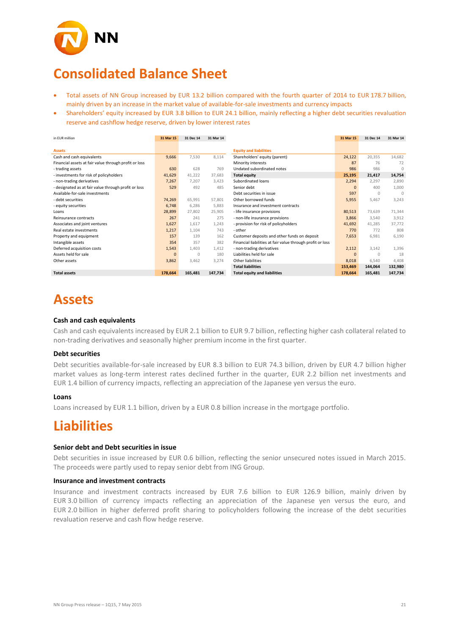

# **Consolidated Balance Sheet**

- Total assets of NN Group increased by EUR 13.2 billion compared with the fourth quarter of 2014 to EUR 178.7 billion, mainly driven by an increase in the market value of available-for-sale investments and currency impacts
- Shareholders' equity increased by EUR 3.8 billion to EUR 24.1 billion, mainly reflecting a higher debt securities revaluation reserve and cashflow hedge reserve, driven by lower interest rates

| in EUR million                                        | 31 Mar 15      | 31 Dec 14 | 31 Mar 14 |                                                            | 31 Mar 15 | 31 Dec 14 | 31 Mar 14 |
|-------------------------------------------------------|----------------|-----------|-----------|------------------------------------------------------------|-----------|-----------|-----------|
|                                                       |                |           |           |                                                            |           |           |           |
| <b>Assets</b>                                         |                |           |           | <b>Equity and liabilities</b>                              |           |           |           |
| Cash and cash equivalents                             | 9,666          | 7,530     | 8,114     | Shareholders' equity (parent)                              | 24,122    | 20,355    | 14,682    |
| Financial assets at fair value through profit or loss |                |           |           | Minority interests                                         | 87        | 76        | 72        |
| - trading assets                                      | 630            | 628       | 769       | Undated subordinated notes                                 | 986       | 986       | $\Omega$  |
| - investments for risk of policyholders               | 41,629         | 41,222    | 37.683    | <b>Total equity</b>                                        | 25,195    | 21,417    | 14,754    |
| - non-trading derivatives                             | 7,267          | 7.207     | 3.423     | Subordinated loans                                         | 2,294     | 2,297     | 2.890     |
| - designated as at fair value through profit or loss  | 529            | 492       | 485       | Senior debt                                                | $\Omega$  | 400       | 1,000     |
| Available-for-sale investments                        |                |           |           | Debt securities in issue                                   | 597       | $\cap$    | $\cap$    |
| - debt securities                                     | 74,269         | 65,991    | 57,801    | Other borrowed funds                                       | 5,955     | 5,467     | 3,243     |
| - equity securities                                   | 6,748          | 6,286     | 5.883     | Insurance and investment contracts                         |           |           |           |
| Loans                                                 | 28,899         | 27.802    | 25.905    | - life insurance provisions                                | 80,513    | 73,639    | 71,344    |
| Reinsurance contracts                                 | 267            | 241       | 275       | - non-life insurance provisions                            | 3,866     | 3,540     | 3,912     |
| Associates and joint ventures                         | 1,627          | 1,617     | 1.243     | - provision for risk of policyholders                      | 41,692    | 41,285    | 37.772    |
| Real estate investments                               | 1,217          | 1,104     | 743       | - other                                                    | 770       | 772       | 808       |
| Property and equipment                                | 157            | 139       | 162       | Customer deposits and other funds on deposit               | 7,653     | 6,981     | 6,190     |
| Intangible assets                                     | 354            | 357       | 382       | Financial liabilities at fair value through profit or loss |           |           |           |
| Deferred acquisition costs                            | 1,543          | 1,403     | 1,412     | - non-trading derivatives                                  | 2,112     | 3,142     | 1,396     |
| Assets held for sale                                  | $\overline{0}$ | $\Omega$  | 180       | Liabilities held for sale                                  | $\Omega$  | $\cap$    | 18        |
| Other assets                                          | 3,862          | 3,462     | 3.274     | Other liabilities                                          | 8,018     | 6,540     | 4.408     |
|                                                       |                |           |           | <b>Total liabilities</b>                                   | 153,469   | 144,064   | 132,980   |
| <b>Total assets</b>                                   | 178,664        | 165,481   | 147,734   | <b>Total equity and liabilities</b>                        | 178,664   | 165,481   | 147,734   |

# **Assets**

### **Cash and cash equivalents**

Cash and cash equivalents increased by EUR 2.1 billion to EUR 9.7 billion, reflecting higher cash collateral related to non-trading derivatives and seasonally higher premium income in the first quarter.

### **Debt securities**

Debt securities available-for-sale increased by EUR 8.3 billion to EUR 74.3 billion, driven by EUR 4.7 billion higher market values as long-term interest rates declined further in the quarter, EUR 2.2 billion net investments and EUR 1.4 billion of currency impacts, reflecting an appreciation of the Japanese yen versus the euro.

### **Loans**

Loans increased by EUR 1.1 billion, driven by a EUR 0.8 billion increase in the mortgage portfolio.

## **Liabilities**

### **Senior debt and Debt securities in issue**

Debt securities in issue increased by EUR 0.6 billion, reflecting the senior unsecured notes issued in March 2015. The proceeds were partly used to repay senior debt from ING Group.

### **Insurance and investment contracts**

Insurance and investment contracts increased by EUR 7.6 billion to EUR 126.9 billion, mainly driven by EUR 3.0 billion of currency impacts reflecting an appreciation of the Japanese yen versus the euro, and EUR 2.0 billion in higher deferred profit sharing to policyholders following the increase of the debt securities revaluation reserve and cash flow hedge reserve.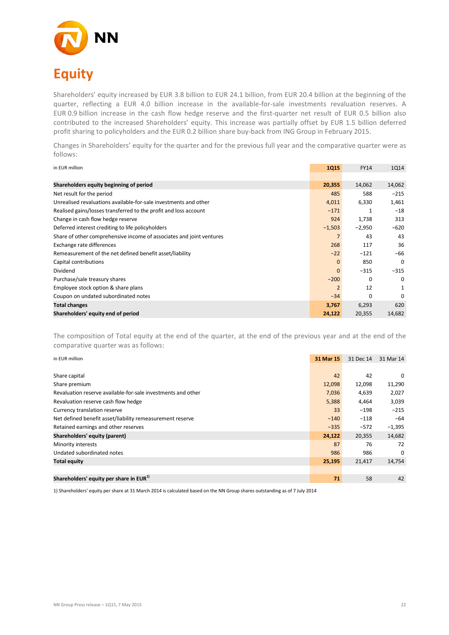

Shareholders' equity increased by EUR 3.8 billion to EUR 24.1 billion, from EUR 20.4 billion at the beginning of the quarter, reflecting a EUR 4.0 billion increase in the available-for-sale investments revaluation reserves. A EUR 0.9 billion increase in the cash flow hedge reserve and the first-quarter net result of EUR 0.5 billion also contributed to the increased Shareholders' equity. This increase was partially offset by EUR 1.5 billion deferred profit sharing to policyholders and the EUR 0.2 billion share buy-back from ING Group in February 2015.

Changes in Shareholders' equity for the quarter and for the previous full year and the comparative quarter were as follows:

| in EUR million                                                       | <b>1Q15</b>    | <b>FY14</b> | 1014     |
|----------------------------------------------------------------------|----------------|-------------|----------|
|                                                                      |                |             |          |
| Shareholders equity beginning of period                              | 20,355         | 14,062      | 14,062   |
| Net result for the period                                            | 485            | 588         | $-215$   |
| Unrealised revaluations available-for-sale investments and other     | 4,011          | 6,330       | 1,461    |
| Realised gains/losses transferred to the profit and loss account     | $-171$         | 1           | $-18$    |
| Change in cash flow hedge reserve                                    | 924            | 1,738       | 313      |
| Deferred interest crediting to life policyholders                    | $-1,503$       | $-2,950$    | $-620$   |
| Share of other comprehensive income of associates and joint ventures | $\overline{7}$ | 43          | 43       |
| Exchange rate differences                                            | 268            | 117         | 36       |
| Remeasurement of the net defined benefit asset/liability             | $-22$          | $-121$      | $-66$    |
| Capital contributions                                                | $\mathbf{0}$   | 850         | $\Omega$ |
| Dividend                                                             | $\mathbf{0}$   | $-315$      | $-315$   |
| Purchase/sale treasury shares                                        | $-200$         | 0           | $\Omega$ |
| Employee stock option & share plans                                  | $\overline{2}$ | 12          | 1        |
| Coupon on undated subordinated notes                                 | $-34$          | $\Omega$    | 0        |
| <b>Total changes</b>                                                 | 3,767          | 6,293       | 620      |
| Shareholders' equity end of period                                   | 24,122         | 20,355      | 14,682   |

The composition of Total equity at the end of the quarter, at the end of the previous year and at the end of the comparative quarter was as follows:

| in EUR million                                               | 31 Mar 15 | 31 Dec 14 | 31 Mar 14 |
|--------------------------------------------------------------|-----------|-----------|-----------|
|                                                              |           |           |           |
| Share capital                                                | 42        | 42        | 0         |
| Share premium                                                | 12,098    | 12,098    | 11,290    |
| Revaluation reserve available-for-sale investments and other | 7,036     | 4,639     | 2,027     |
| Revaluation reserve cash flow hedge                          | 5,388     | 4,464     | 3,039     |
| Currency translation reserve                                 | 33        | $-198$    | $-215$    |
| Net defined benefit asset/liability remeasurement reserve    | $-140$    | $-118$    | $-64$     |
| Retained earnings and other reserves                         | $-335$    | $-572$    | $-1,395$  |
| Shareholders' equity (parent)                                | 24,122    | 20,355    | 14,682    |
| Minority interests                                           | 87        | 76        | 72        |
| Undated subordinated notes                                   | 986       | 986       | $\Omega$  |
| <b>Total equity</b>                                          | 25,195    | 21,417    | 14,754    |
|                                                              |           |           |           |
| Shareholders' equity per share in EUR <sup>1)</sup>          | 71        | 58        | 42        |

1) Shareholders' equity per share at 31 March 2014 is calculated based on the NN Group shares outstanding as of 7 July 2014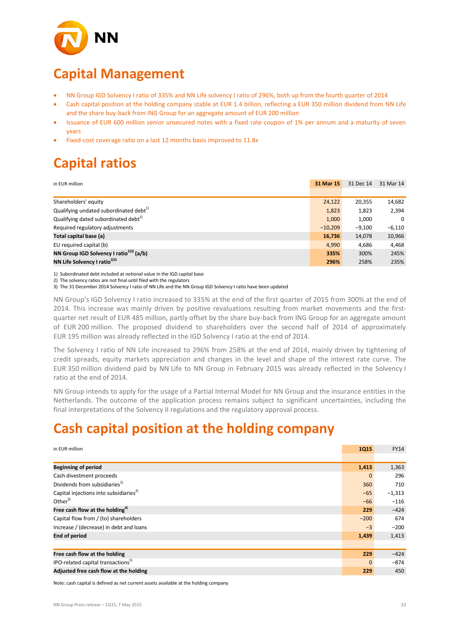

# **Capital Management**

- NN Group IGD Solvency I ratio of 335% and NN Life solvency I ratio of 296%, both up from the fourth quarter of 2014
- Cash capital position at the holding company stable at EUR 1.4 billion, reflecting a EUR 350 million dividend from NN Life and the share buy-back from ING Group for an aggregate amount of EUR 200 million
- Issuance of EUR 600 million senior unsecured notes with a fixed rate coupon of 1% per annum and a maturity of seven years
- Fixed-cost coverage ratio on a last 12 months basis improved to 11.8x

# **Capital ratios**

| in EUR million                                      | 31 Mar 15 | 31 Dec 14 | 31 Mar 14 |
|-----------------------------------------------------|-----------|-----------|-----------|
|                                                     |           |           |           |
| Shareholders' equity                                | 24,122    | 20,355    | 14,682    |
| Qualifying undated subordinated debt <sup>1)</sup>  | 1,823     | 1,823     | 2,394     |
| Qualifying dated subordinated debt <sup>1)</sup>    | 1,000     | 1,000     | $\Omega$  |
| Required regulatory adjustments                     | $-10,209$ | $-9,100$  | $-6,110$  |
| Total capital base (a)                              | 16,736    | 14,078    | 10,966    |
| EU required capital (b)                             | 4,990     | 4,686     | 4,468     |
| NN Group IGD Solvency I ratio <sup>2)3)</sup> (a/b) | 335%      | 300%      | 245%      |
| NN Life Solvency I ratio <sup>2)3)</sup>            | 296%      | 258%      | 235%      |

1) Subordinated debt included at notional value in the IGD capital base

2) The solvency ratios are not final until filed with the regulators

3) The 31 December 2014 Solvency I ratio of NN Life and the NN Group IGD Solvency I ratio have been updated

NN Group's IGD Solvency I ratio increased to 335% at the end of the first quarter of 2015 from 300% at the end of 2014. This increase was mainly driven by positive revaluations resulting from market movements and the firstquarter net result of EUR 485 million, partly offset by the share buy-back from ING Group for an aggregate amount of EUR 200 million. The proposed dividend to shareholders over the second half of 2014 of approximately EUR 195 million was already reflected in the IGD Solvency I ratio at the end of 2014.

The Solvency I ratio of NN Life increased to 296% from 258% at the end of 2014, mainly driven by tightening of credit spreads, equity markets appreciation and changes in the level and shape of the interest rate curve. The EUR 350 million dividend paid by NN Life to NN Group in February 2015 was already reflected in the Solvency I ratio at the end of 2014.

NN Group intends to apply for the usage of a Partial Internal Model for NN Group and the insurance entities in the Netherlands. The outcome of the application process remains subject to significant uncertainties, including the final interpretations of the Solvency II regulations and the regulatory approval process.

# **Cash capital position at the holding company**

| in EUR million                                     | <b>1Q15</b> | <b>FY14</b> |
|----------------------------------------------------|-------------|-------------|
|                                                    |             |             |
| <b>Beginning of period</b>                         | 1,413       | 1,363       |
| Cash divestment proceeds                           | $\Omega$    | 296         |
| Dividends from subsidiaries <sup>1)</sup>          | 360         | 710         |
| Capital injections into subsidiaries <sup>2)</sup> | $-65$       | $-1,313$    |
| Other $3$                                          | $-66$       | $-116$      |
| Free cash flow at the holding <sup>4)</sup>        | 229         | $-424$      |
| Capital flow from / (to) shareholders              | $-200$      | 674         |
| Increase / (decrease) in debt and loans            | $-3$        | $-200$      |
| <b>End of period</b>                               | 1,439       | 1,413       |
|                                                    |             |             |
| Free cash flow at the holding                      | 229         | $-424$      |
| IPO-related capital transactions <sup>5)</sup>     | $\Omega$    | $-874$      |
| Adjusted free cash flow at the holding             | 229         | 450         |

Note: cash capital is defined as net current assets available at the holding company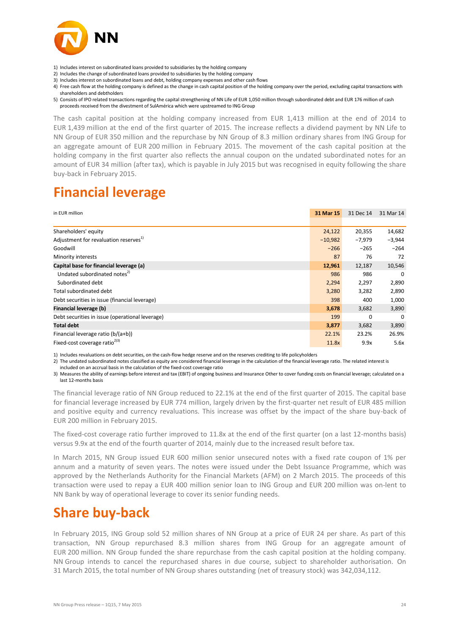

- 1) Includes interest on subordinated loans provided to subsidiaries by the holding company
- 2) Includes the change of subordinated loans provided to subsidiaries by the holding company
- 3) Includes interest on subordinated loans and debt, holding company expenses and other cash flows
- 4) Free cash flow at the holding company is defined as the change in cash capital position of the holding company over the period, excluding capital transactions with shareholders and debtholders
- 5) Consists of IPO related transactions regarding the capital strengthening of NN Life of EUR 1,050 million through subordinated debt and EUR 176 million of cash proceeds received from the divestment of SulAmérica which were upstreamed to ING Group

The cash capital position at the holding company increased from EUR 1,413 million at the end of 2014 to EUR 1,439 million at the end of the first quarter of 2015. The increase reflects a dividend payment by NN Life to NN Group of EUR 350 million and the repurchase by NN Group of 8.3 million ordinary shares from ING Group for an aggregate amount of EUR 200 million in February 2015. The movement of the cash capital position at the holding company in the first quarter also reflects the annual coupon on the undated subordinated notes for an amount of EUR 34 million (after tax), which is payable in July 2015 but was recognised in equity following the share buy-back in February 2015.

# **Financial leverage**

| in EUR million                                    | 31 Mar 15 | 31 Dec 14 | 31 Mar 14 |
|---------------------------------------------------|-----------|-----------|-----------|
|                                                   |           |           |           |
| Shareholders' equity                              | 24,122    | 20,355    | 14,682    |
| Adjustment for revaluation reserves <sup>1)</sup> | $-10,982$ | $-7,979$  | $-3,944$  |
| Goodwill                                          | $-266$    | $-265$    | $-264$    |
| Minority interests                                | 87        | 76        | 72        |
| Capital base for financial leverage (a)           | 12,961    | 12,187    | 10,546    |
| Undated subordinated notes <sup>2)</sup>          | 986       | 986       | $\Omega$  |
| Subordinated debt                                 | 2,294     | 2,297     | 2,890     |
| Total subordinated debt                           | 3,280     | 3,282     | 2,890     |
| Debt securities in issue (financial leverage)     | 398       | 400       | 1,000     |
| Financial leverage (b)                            | 3,678     | 3,682     | 3,890     |
| Debt securities in issue (operational leverage)   | 199       | 0         | $\Omega$  |
| <b>Total debt</b>                                 | 3,877     | 3,682     | 3,890     |
| Financial leverage ratio (b/(a+b))                | 22.1%     | 23.2%     | 26.9%     |
| Fixed-cost coverage ratio <sup>2)3)</sup>         | 11.8x     | 9.9x      | 5.6x      |

1) Includes revaluations on debt securities, on the cash-flow hedge reserve and on the reserves crediting to life policyholders

2) The undated subordinated notes classified as equity are considered financial leverage in the calculation of the financial leverage ratio. The related interest is

included on an accrual basis in the calculation of the fixed-cost coverage ratio

3) Measures the ability of earnings before interest and tax (EBIT) of ongoing business and Insurance Other to cover funding costs on financial leverage; calculated on a last 12-months basis

The financial leverage ratio of NN Group reduced to 22.1% at the end of the first quarter of 2015. The capital base for financial leverage increased by EUR 774 million, largely driven by the first-quarter net result of EUR 485 million and positive equity and currency revaluations. This increase was offset by the impact of the share buy-back of EUR 200 million in February 2015.

The fixed-cost coverage ratio further improved to 11.8x at the end of the first quarter (on a last 12-months basis) versus 9.9x at the end of the fourth quarter of 2014, mainly due to the increased result before tax.

In March 2015, NN Group issued EUR 600 million senior unsecured notes with a fixed rate coupon of 1% per annum and a maturity of seven years. The notes were issued under the Debt Issuance Programme, which was approved by the Netherlands Authority for the Financial Markets (AFM) on 2 March 2015. The proceeds of this transaction were used to repay a EUR 400 million senior loan to ING Group and EUR 200 million was on-lent to NN Bank by way of operational leverage to cover its senior funding needs.

# **Share buy-back**

In February 2015, ING Group sold 52 million shares of NN Group at a price of EUR 24 per share. As part of this transaction, NN Group repurchased 8.3 million shares from ING Group for an aggregate amount of EUR 200 million. NN Group funded the share repurchase from the cash capital position at the holding company. NN Group intends to cancel the repurchased shares in due course, subject to shareholder authorisation. On 31 March 2015, the total number of NN Group shares outstanding (net of treasury stock) was 342,034,112.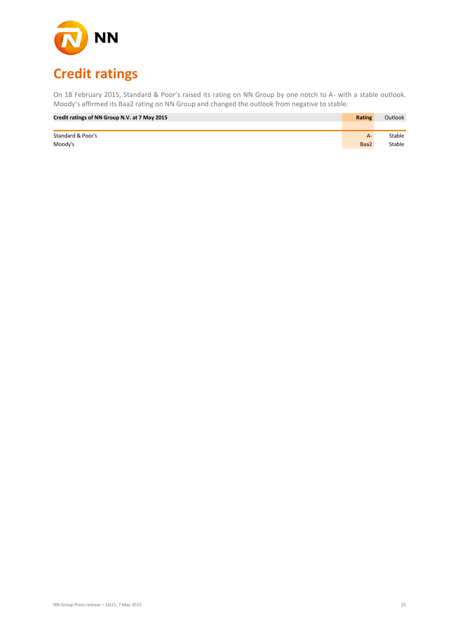

On 18 February 2015, Standard & Poor's raised its rating on NN Group by one notch to A- with a stable outlook. Moody's affirmed its Baa2 rating on NN Group and changed the outlook from negative to stable.

| Credit ratings of NN Group N.V. at 7 May 2015 | <b>Rating</b> | Outlook |
|-----------------------------------------------|---------------|---------|
|                                               |               |         |
| Standard & Poor's                             | $A -$         | Stable  |
| Moody's                                       | Baa2          | Stable  |